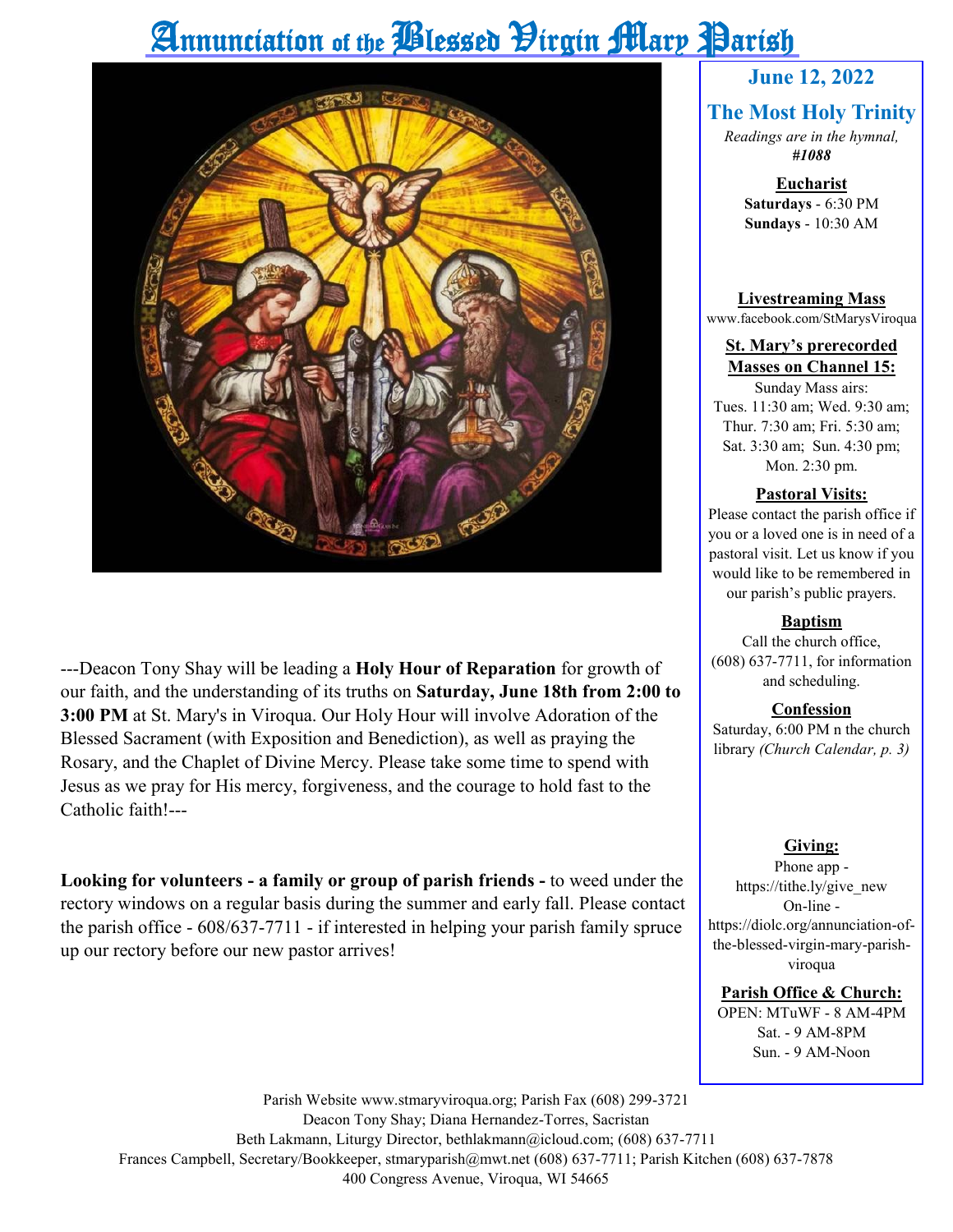# Annunciation of the *Plessed Hirgin Mary* Parish



---Deacon Tony Shay will be leading a **Holy Hour of Reparation** for growth of our faith, and the understanding of its truths on **Saturday, June 18th from 2:00 to 3:00 PM** at St. Mary's in Viroqua. Our Holy Hour will involve Adoration of the Blessed Sacrament (with Exposition and Benediction), as well as praying the Rosary, and the Chaplet of Divine Mercy. Please take some time to spend with Jesus as we pray for His mercy, forgiveness, and the courage to hold fast to the Catholic faith!---

**Looking for volunteers - a family or group of parish friends -** to weed under the rectory windows on a regular basis during the summer and early fall. Please contact the parish office - 608/637-7711 - if interested in helping your parish family spruce up our rectory before our new pastor arrives!

#### **June 12, 2022**

#### **The Most Holy Trinity**

*Readings are in the hymnal, #1088*

> **Eucharist Saturdays** - 6:30 PM **Sundays** - 10:30 AM

**Livestreaming Mass** www.facebook.com/StMarysViroqua

#### **St. Mary's prerecorded Masses on Channel 15:**

Sunday Mass airs: Tues. 11:30 am; Wed. 9:30 am; Thur. 7:30 am; Fri. 5:30 am; Sat. 3:30 am; Sun. 4:30 pm; Mon. 2:30 pm.

#### **Pastoral Visits:**

Please contact the parish office if you or a loved one is in need of a pastoral visit. Let us know if you would like to be remembered in our parish's public prayers.

#### **Baptism**

Call the church office, (608) 637-7711, for information and scheduling.

#### **Confession**

Saturday, 6:00 PM n the church library *(Church Calendar, p. 3)*

#### **Giving:**

Phone app https://tithe.ly/give\_new On-line https://diolc.org/annunciation-ofthe-blessed-virgin-mary-parishviroqua

**Parish Office & Church:**

OPEN: MTuWF - 8 AM-4PM Sat. - 9 AM-8PM Sun. - 9 AM-Noon

Parish Website www.stmaryviroqua.org; Parish Fax (608) 299-3721 Deacon Tony Shay; Diana Hernandez-Torres, Sacristan Beth Lakmann, Liturgy Director, bethlakmann@icloud.com; (608) 637-7711 Frances Campbell, Secretary/Bookkeeper, stmaryparish@mwt.net (608) 637-7711; Parish Kitchen (608) 637-7878 400 Congress Avenue, Viroqua, WI 54665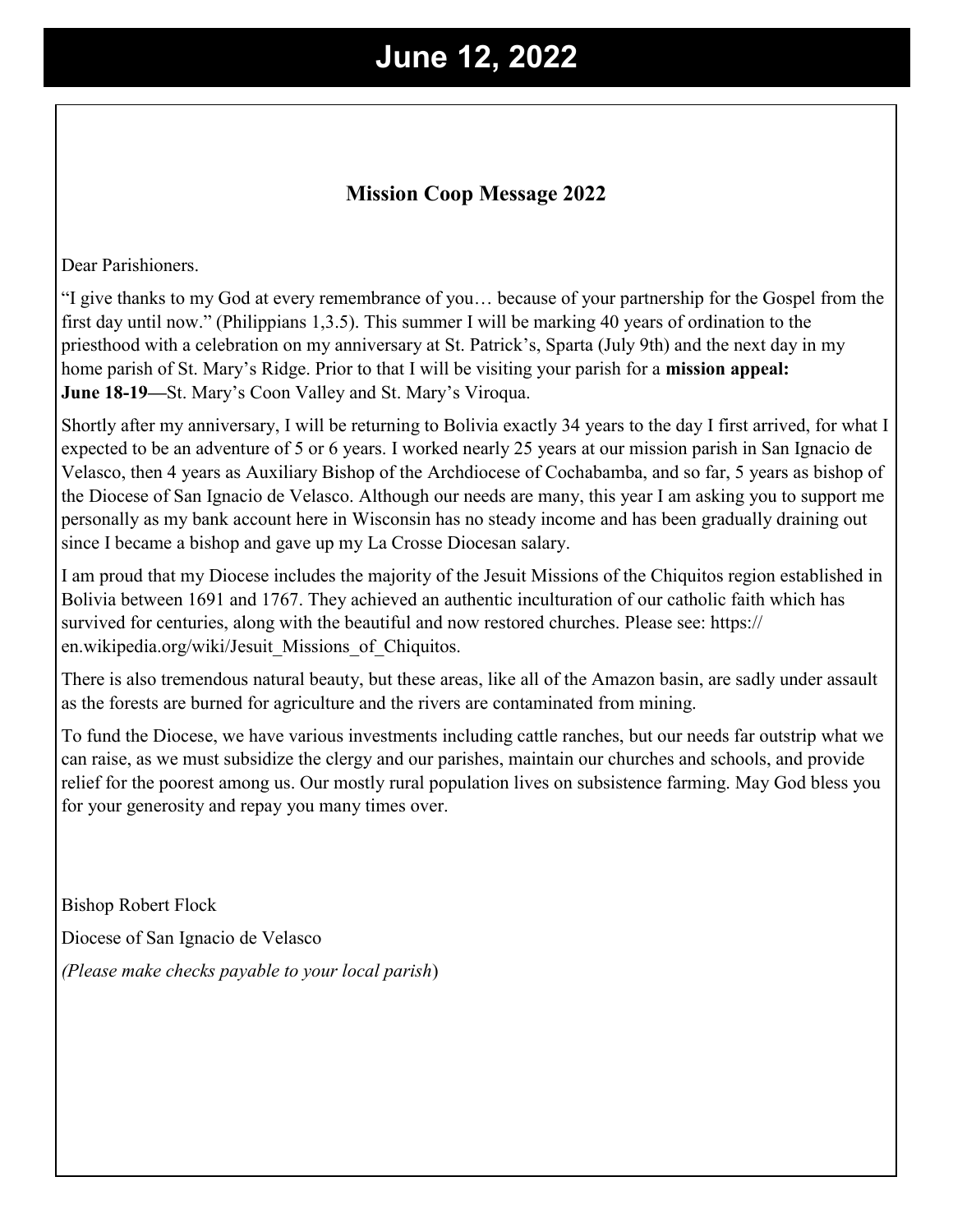## **June 12, 2022**

#### **Mission Coop Message 2022**

Dear Parishioners.

"I give thanks to my God at every remembrance of you… because of your partnership for the Gospel from the first day until now." (Philippians 1,3.5). This summer I will be marking 40 years of ordination to the priesthood with a celebration on my anniversary at St. Patrick's, Sparta (July 9th) and the next day in my home parish of St. Mary's Ridge. Prior to that I will be visiting your parish for a **mission appeal: June 18-19—**St. Mary's Coon Valley and St. Mary's Viroqua.

Shortly after my anniversary, I will be returning to Bolivia exactly 34 years to the day I first arrived, for what I expected to be an adventure of 5 or 6 years. I worked nearly 25 years at our mission parish in San Ignacio de Velasco, then 4 years as Auxiliary Bishop of the Archdiocese of Cochabamba, and so far, 5 years as bishop of the Diocese of San Ignacio de Velasco. Although our needs are many, this year I am asking you to support me personally as my bank account here in Wisconsin has no steady income and has been gradually draining out since I became a bishop and gave up my La Crosse Diocesan salary.

I am proud that my Diocese includes the majority of the Jesuit Missions of the Chiquitos region established in Bolivia between 1691 and 1767. They achieved an authentic inculturation of our catholic faith which has survived for centuries, along with the beautiful and now restored churches. Please see: https:// en.wikipedia.org/wiki/Jesuit\_Missions\_of\_Chiquitos.

There is also tremendous natural beauty, but these areas, like all of the Amazon basin, are sadly under assault as the forests are burned for agriculture and the rivers are contaminated from mining.

To fund the Diocese, we have various investments including cattle ranches, but our needs far outstrip what we can raise, as we must subsidize the clergy and our parishes, maintain our churches and schools, and provide relief for the poorest among us. Our mostly rural population lives on subsistence farming. May God bless you for your generosity and repay you many times over.

Bishop Robert Flock Diocese of San Ignacio de Velasco *(Please make checks payable to your local parish*)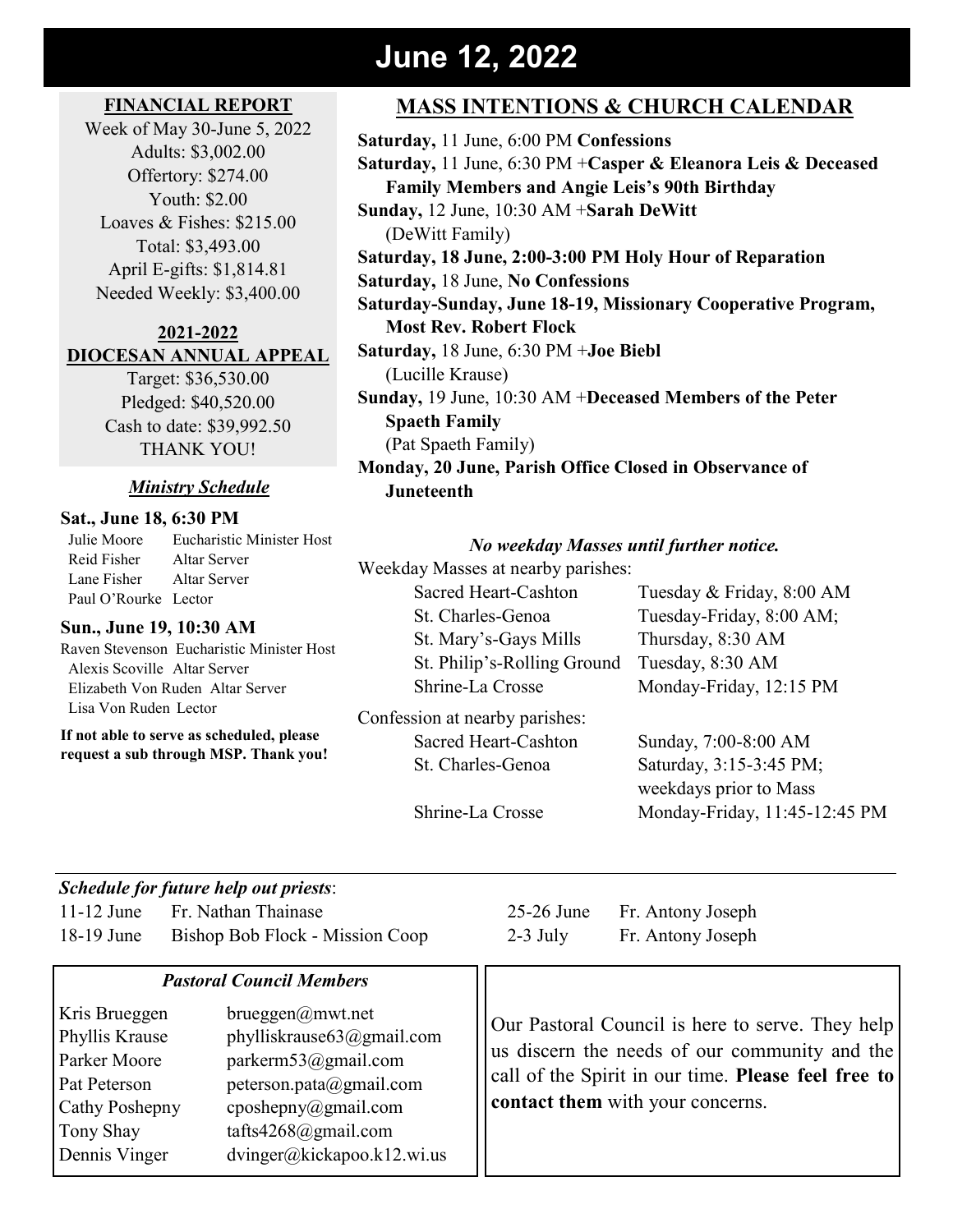### **June 12, 2022**

#### **FINANCIAL REPORT**

Week of May 30-June 5, 2022 Adults: \$3,002.00 Offertory: \$274.00 Youth: \$2.00 Loaves & Fishes: \$215.00 Total: \$3,493.00 April E-gifts: \$1,814.81 Needed Weekly: \$3,400.00

#### **2021-2022 DIOCESAN ANNUAL APPEAL**

Target: \$36,530.00 Pledged: \$40,520.00 Cash to date: \$39,992.50 THANK YOU!

#### *Ministry Schedule*

#### **Sat., June 18, 6:30 PM**

 Julie Moore Eucharistic Minister Host Reid Fisher Altar Server Lane Fisher Altar Server Paul O'Rourke Lector

#### **Sun., June 19, 10:30 AM**

Raven Stevenson Eucharistic Minister Host Alexis Scoville Altar Server Elizabeth Von Ruden Altar Server Lisa Von Ruden Lector

**If not able to serve as scheduled, please request a sub through MSP. Thank you!**

### **MASS INTENTIONS & CHURCH CALENDAR**

**Saturday,** 11 June, 6:00 PM **Confessions Saturday,** 11 June, 6:30 PM +**Casper & Eleanora Leis & Deceased Family Members and Angie Leis's 90th Birthday Sunday,** 12 June, 10:30 AM +**Sarah DeWitt** (DeWitt Family) **Saturday, 18 June, 2:00-3:00 PM Holy Hour of Reparation Saturday,** 18 June, **No Confessions Saturday-Sunday, June 18-19, Missionary Cooperative Program, Most Rev. Robert Flock Saturday,** 18 June, 6:30 PM +**Joe Biebl** (Lucille Krause) **Sunday,** 19 June, 10:30 AM +**Deceased Members of the Peter Spaeth Family** (Pat Spaeth Family) **Monday, 20 June, Parish Office Closed in Observance of Juneteenth**

#### *No weekday Masses until further notice.*

Weekday Masses at nearby parishes:

Sacred Heart-Cashton Tuesday & Friday, 8:00 AM St. Charles-Genoa Tuesday-Friday, 8:00 AM; St. Mary's-Gays Mills Thursday, 8:30 AM St. Philip's-Rolling Ground Tuesday, 8:30 AM Shrine-La Crosse Monday-Friday, 12:15 PM

Confession at nearby parishes: Sacred Heart-Cashton Sunday, 7:00-8:00 AM

St. Charles-Genoa Saturday, 3:15-3:45 PM; weekdays prior to Mass Shrine-La Crosse Monday-Friday, 11:45-12:45 PM

#### *Schedule for future help out priests*:

11-12 June Fr. Nathan Thainase 25-26 June Fr. Antony Joseph 18-19 June Bishop Bob Flock - Mission Coop 2-3 July Fr. Antony Joseph

#### *Pastoral Council Members*

Kris Brueggen brueggen@mwt.net Phyllis Krause phylliskrause63@gmail.com Parker Moore parkerm53@gmail.com Pat Peterson peterson.pata@gmail.com Cathy Poshepny cposhepny@gmail.com Tony Shay tafts4268@gmail.com Dennis Vinger dvinger@kickapoo.k12.wi.us

Our Pastoral Council is here to serve. They help us discern the needs of our community and the call of the Spirit in our time. **Please feel free to contact them** with your concerns.